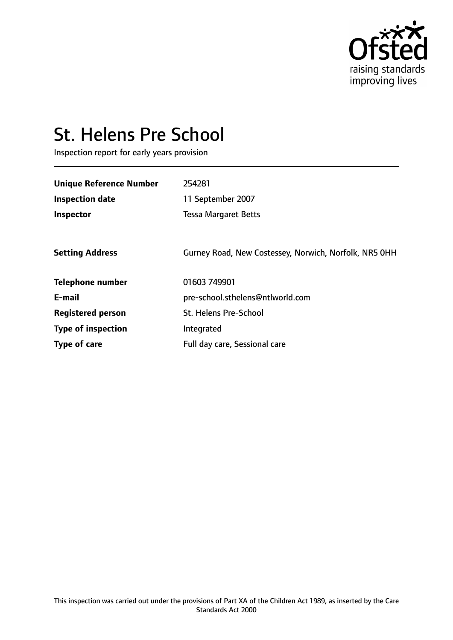

# St. Helens Pre School

Inspection report for early years provision

| <b>Unique Reference Number</b> | 254281                                                |
|--------------------------------|-------------------------------------------------------|
| <b>Inspection date</b>         | 11 September 2007                                     |
| Inspector                      | <b>Tessa Margaret Betts</b>                           |
|                                |                                                       |
| <b>Setting Address</b>         | Gurney Road, New Costessey, Norwich, Norfolk, NR5 0HH |
| <b>Telephone number</b>        | 01603 749901                                          |
| E-mail                         | pre-school.sthelens@ntlworld.com                      |
| <b>Registered person</b>       | <b>St. Helens Pre-School</b>                          |
| <b>Type of inspection</b>      | Integrated                                            |
| <b>Type of care</b>            | Full day care, Sessional care                         |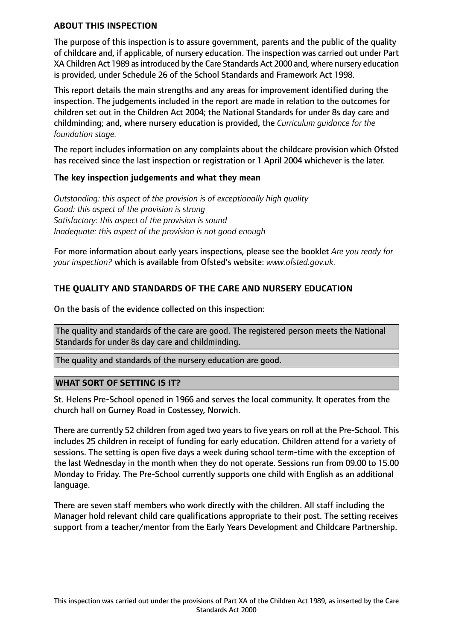## **ABOUT THIS INSPECTION**

The purpose of this inspection is to assure government, parents and the public of the quality of childcare and, if applicable, of nursery education. The inspection was carried out under Part XA Children Act 1989 as introduced by the Care Standards Act 2000 and, where nursery education is provided, under Schedule 26 of the School Standards and Framework Act 1998.

This report details the main strengths and any areas for improvement identified during the inspection. The judgements included in the report are made in relation to the outcomes for children set out in the Children Act 2004; the National Standards for under 8s day care and childminding; and, where nursery education is provided, the *Curriculum guidance for the foundation stage.*

The report includes information on any complaints about the childcare provision which Ofsted has received since the last inspection or registration or 1 April 2004 whichever is the later.

## **The key inspection judgements and what they mean**

*Outstanding: this aspect of the provision is of exceptionally high quality Good: this aspect of the provision is strong Satisfactory: this aspect of the provision is sound Inadequate: this aspect of the provision is not good enough*

For more information about early years inspections, please see the booklet *Are you ready for your inspection?* which is available from Ofsted's website: *www.ofsted.gov.uk.*

## **THE QUALITY AND STANDARDS OF THE CARE AND NURSERY EDUCATION**

On the basis of the evidence collected on this inspection:

The quality and standards of the care are good. The registered person meets the National Standards for under 8s day care and childminding.

The quality and standards of the nursery education are good.

#### **WHAT SORT OF SETTING IS IT?**

St. Helens Pre-School opened in 1966 and serves the local community. It operates from the church hall on Gurney Road in Costessey, Norwich.

There are currently 52 children from aged two years to five years on roll at the Pre-School. This includes 25 children in receipt of funding for early education. Children attend for a variety of sessions. The setting is open five days a week during school term-time with the exception of the last Wednesday in the month when they do not operate. Sessions run from 09.00 to 15.00 Monday to Friday. The Pre-School currently supports one child with English as an additional language.

There are seven staff members who work directly with the children. All staff including the Manager hold relevant child care qualifications appropriate to their post. The setting receives support from a teacher/mentor from the Early Years Development and Childcare Partnership.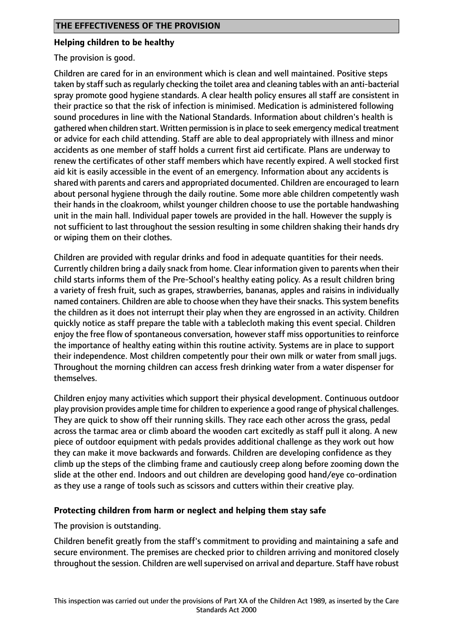## **Helping children to be healthy**

The provision is good.

Children are cared for in an environment which is clean and well maintained. Positive steps taken by staff such as regularly checking the toilet area and cleaning tables with an anti-bacterial spray promote good hygiene standards. A clear health policy ensures all staff are consistent in their practice so that the risk of infection is minimised. Medication is administered following sound procedures in line with the National Standards. Information about children's health is gathered when children start. Written permission is in place to seek emergency medical treatment or advice for each child attending. Staff are able to deal appropriately with illness and minor accidents as one member of staff holds a current first aid certificate. Plans are underway to renew the certificates of other staff members which have recently expired. A well stocked first aid kit is easily accessible in the event of an emergency. Information about any accidents is shared with parents and carers and appropriated documented. Children are encouraged to learn about personal hygiene through the daily routine. Some more able children competently wash their hands in the cloakroom, whilst younger children choose to use the portable handwashing unit in the main hall. Individual paper towels are provided in the hall. However the supply is not sufficient to last throughout the session resulting in some children shaking their hands dry or wiping them on their clothes.

Children are provided with regular drinks and food in adequate quantities for their needs. Currently children bring a daily snack from home. Clear information given to parents when their child starts informs them of the Pre-School's healthy eating policy. As a result children bring a variety of fresh fruit, such as grapes, strawberries, bananas, apples and raisins in individually named containers. Children are able to choose when they have their snacks. This system benefits the children as it does not interrupt their play when they are engrossed in an activity. Children quickly notice as staff prepare the table with a tablecloth making this event special. Children enjoy the free flow of spontaneous conversation, however staff miss opportunities to reinforce the importance of healthy eating within this routine activity. Systems are in place to support their independence. Most children competently pour their own milk or water from small jugs. Throughout the morning children can access fresh drinking water from a water dispenser for themselves.

Children enjoy many activities which support their physical development. Continuous outdoor play provision provides ample time for children to experience a good range of physical challenges. They are quick to show off their running skills. They race each other across the grass, pedal across the tarmac area or climb aboard the wooden cart excitedly as staff pull it along. A new piece of outdoor equipment with pedals provides additional challenge as they work out how they can make it move backwards and forwards. Children are developing confidence as they climb up the steps of the climbing frame and cautiously creep along before zooming down the slide at the other end. Indoors and out children are developing good hand/eye co-ordination as they use a range of tools such as scissors and cutters within their creative play.

## **Protecting children from harm or neglect and helping them stay safe**

The provision is outstanding.

Children benefit greatly from the staff's commitment to providing and maintaining a safe and secure environment. The premises are checked prior to children arriving and monitored closely throughout the session. Children are wellsupervised on arrival and departure. Staff have robust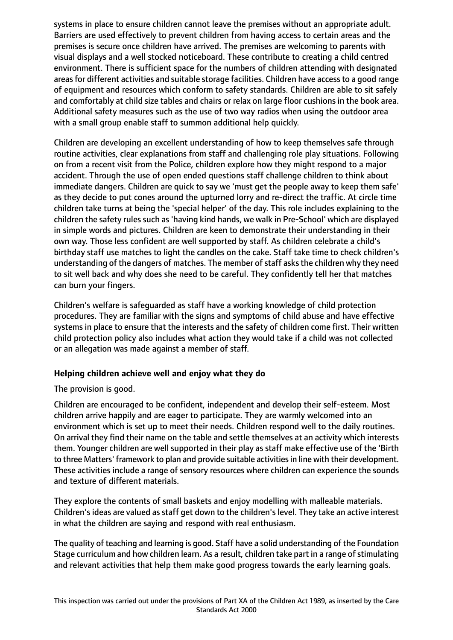systems in place to ensure children cannot leave the premises without an appropriate adult. Barriers are used effectively to prevent children from having access to certain areas and the premises is secure once children have arrived. The premises are welcoming to parents with visual displays and a well stocked noticeboard. These contribute to creating a child centred environment. There is sufficient space for the numbers of children attending with designated areas for different activities and suitable storage facilities. Children have access to a good range of equipment and resources which conform to safety standards. Children are able to sit safely and comfortably at child size tables and chairs or relax on large floor cushions in the book area. Additional safety measures such as the use of two way radios when using the outdoor area with a small group enable staff to summon additional help quickly.

Children are developing an excellent understanding of how to keep themselves safe through routine activities, clear explanations from staff and challenging role play situations. Following on from a recent visit from the Police, children explore how they might respond to a major accident. Through the use of open ended questions staff challenge children to think about immediate dangers. Children are quick to say we 'must get the people away to keep them safe' as they decide to put cones around the upturned lorry and re-direct the traffic. At circle time children take turns at being the 'special helper' of the day. This role includes explaining to the children the safety rules such as 'having kind hands, we walk in Pre-School' which are displayed in simple words and pictures. Children are keen to demonstrate their understanding in their own way. Those less confident are well supported by staff. As children celebrate a child's birthday staff use matches to light the candles on the cake. Staff take time to check children's understanding of the dangers of matches. The member of staff asks the children why they need to sit well back and why does she need to be careful. They confidently tell her that matches can burn your fingers.

Children's welfare is safeguarded as staff have a working knowledge of child protection procedures. They are familiar with the signs and symptoms of child abuse and have effective systems in place to ensure that the interests and the safety of children come first. Their written child protection policy also includes what action they would take if a child was not collected or an allegation was made against a member of staff.

## **Helping children achieve well and enjoy what they do**

The provision is good.

Children are encouraged to be confident, independent and develop their self-esteem. Most children arrive happily and are eager to participate. They are warmly welcomed into an environment which is set up to meet their needs. Children respond well to the daily routines. On arrival they find their name on the table and settle themselves at an activity which interests them. Younger children are well supported in their play as staff make effective use of the 'Birth to three Matters' framework to plan and provide suitable activities in line with their development. These activities include a range of sensory resources where children can experience the sounds and texture of different materials.

They explore the contents of small baskets and enjoy modelling with malleable materials. Children's ideas are valued as staff get down to the children's level. They take an active interest in what the children are saying and respond with real enthusiasm.

The quality of teaching and learning is good. Staff have a solid understanding of the Foundation Stage curriculum and how children learn. As a result, children take part in a range of stimulating and relevant activities that help them make good progress towards the early learning goals.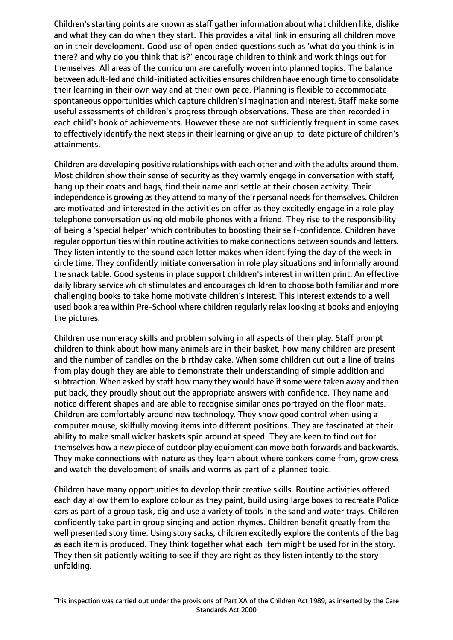Children's starting points are known as staff gather information about what children like, dislike and what they can do when they start. This provides a vital link in ensuring all children move on in their development. Good use of open ended questions such as 'what do you think is in there? and why do you think that is?' encourage children to think and work things out for themselves. All areas of the curriculum are carefully woven into planned topics. The balance between adult-led and child-initiated activities ensures children have enough time to consolidate their learning in their own way and at their own pace. Planning is flexible to accommodate spontaneous opportunities which capture children's imagination and interest. Staff make some useful assessments of children's progress through observations. These are then recorded in each child's book of achievements. However these are not sufficiently frequent in some cases to effectively identify the next steps in their learning or give an up-to-date picture of children's attainments.

Children are developing positive relationships with each other and with the adults around them. Most children show their sense of security as they warmly engage in conversation with staff, hang up their coats and bags, find their name and settle at their chosen activity. Their independence is growing as they attend to many of their personal needs for themselves. Children are motivated and interested in the activities on offer as they excitedly engage in a role play telephone conversation using old mobile phones with a friend. They rise to the responsibility of being a 'special helper' which contributes to boosting their self-confidence. Children have regular opportunities within routine activities to make connections between sounds and letters. They listen intently to the sound each letter makes when identifying the day of the week in circle time. They confidently initiate conversation in role play situations and informally around the snack table. Good systems in place support children's interest in written print. An effective daily library service which stimulates and encourages children to choose both familiar and more challenging books to take home motivate children's interest. This interest extends to a well used book area within Pre-School where children regularly relax looking at books and enjoying the pictures.

Children use numeracy skills and problem solving in all aspects of their play. Staff prompt children to think about how many animals are in their basket, how many children are present and the number of candles on the birthday cake. When some children cut out a line of trains from play dough they are able to demonstrate their understanding of simple addition and subtraction. When asked by staff how many they would have if some were taken away and then put back, they proudly shout out the appropriate answers with confidence. They name and notice different shapes and are able to recognise similar ones portrayed on the floor mats. Children are comfortably around new technology. They show good control when using a computer mouse, skilfully moving items into different positions. They are fascinated at their ability to make small wicker baskets spin around at speed. They are keen to find out for themselves how a new piece of outdoor play equipment can move both forwards and backwards. They make connections with nature as they learn about where conkers come from, grow cress and watch the development of snails and worms as part of a planned topic.

Children have many opportunities to develop their creative skills. Routine activities offered each day allow them to explore colour as they paint, build using large boxes to recreate Police cars as part of a group task, dig and use a variety of tools in the sand and water trays. Children confidently take part in group singing and action rhymes. Children benefit greatly from the well presented story time. Using story sacks, children excitedly explore the contents of the bag as each item is produced. They think together what each item might be used for in the story. They then sit patiently waiting to see if they are right as they listen intently to the story unfolding.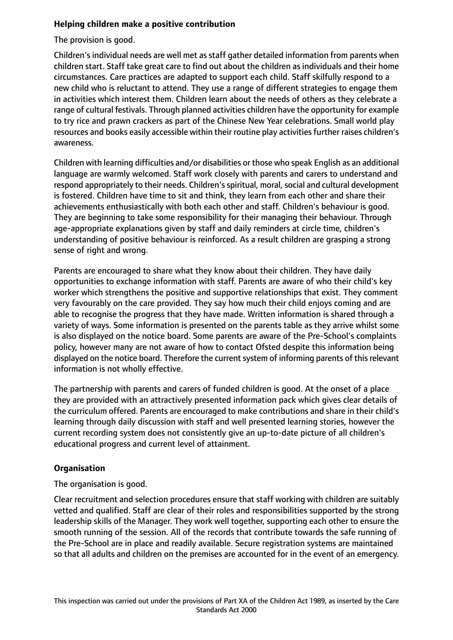## **Helping children make a positive contribution**

The provision is good.

Children's individual needs are well met as staff gather detailed information from parents when children start. Staff take great care to find out about the children as individuals and their home circumstances. Care practices are adapted to support each child. Staff skilfully respond to a new child who is reluctant to attend. They use a range of different strategies to engage them in activities which interest them. Children learn about the needs of others as they celebrate a range of cultural festivals. Through planned activities children have the opportunity for example to try rice and prawn crackers as part of the Chinese New Year celebrations. Small world play resources and books easily accessible within their routine play activities further raises children's awareness.

Children with learning difficulties and/or disabilities or those who speak English as an additional language are warmly welcomed. Staff work closely with parents and carers to understand and respond appropriately to their needs. Children's spiritual, moral, social and cultural development is fostered. Children have time to sit and think, they learn from each other and share their achievements enthusiastically with both each other and staff. Children's behaviour is good. They are beginning to take some responsibility for their managing their behaviour. Through age-appropriate explanations given by staff and daily reminders at circle time, children's understanding of positive behaviour is reinforced. As a result children are grasping a strong sense of right and wrong.

Parents are encouraged to share what they know about their children. They have daily opportunities to exchange information with staff. Parents are aware of who their child's key worker which strengthens the positive and supportive relationships that exist. They comment very favourably on the care provided. They say how much their child enjoys coming and are able to recognise the progress that they have made. Written information is shared through a variety of ways. Some information is presented on the parents table as they arrive whilst some is also displayed on the notice board. Some parents are aware of the Pre-School's complaints policy, however many are not aware of how to contact Ofsted despite this information being displayed on the notice board. Therefore the current system of informing parents of this relevant information is not wholly effective.

The partnership with parents and carers of funded children is good. At the onset of a place they are provided with an attractively presented information pack which gives clear details of the curriculum offered. Parents are encouraged to make contributions and share in their child's learning through daily discussion with staff and well presented learning stories, however the current recording system does not consistently give an up-to-date picture of all children's educational progress and current level of attainment.

# **Organisation**

The organisation is good.

Clear recruitment and selection procedures ensure that staff working with children are suitably vetted and qualified. Staff are clear of their roles and responsibilities supported by the strong leadership skills of the Manager. They work well together, supporting each other to ensure the smooth running of the session. All of the records that contribute towards the safe running of the Pre-School are in place and readily available. Secure registration systems are maintained so that all adults and children on the premises are accounted for in the event of an emergency.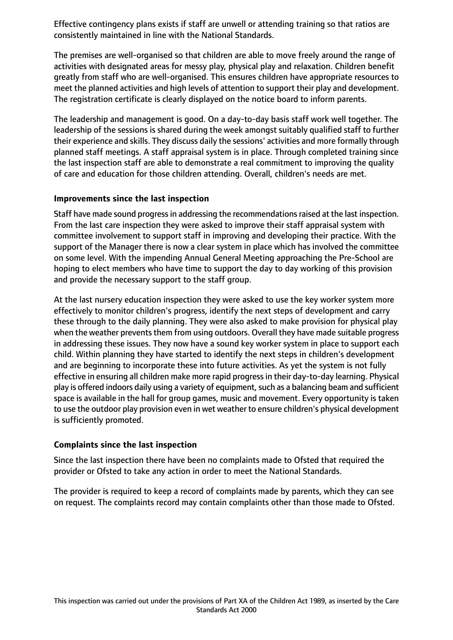Effective contingency plans exists if staff are unwell or attending training so that ratios are consistently maintained in line with the National Standards.

The premises are well-organised so that children are able to move freely around the range of activities with designated areas for messy play, physical play and relaxation. Children benefit greatly from staff who are well-organised. This ensures children have appropriate resources to meet the planned activities and high levels of attention to support their play and development. The registration certificate is clearly displayed on the notice board to inform parents.

The leadership and management is good. On a day-to-day basis staff work well together. The leadership of the sessions is shared during the week amongst suitably qualified staff to further their experience and skills. They discuss daily the sessions' activities and more formally through planned staff meetings. A staff appraisal system is in place. Through completed training since the last inspection staff are able to demonstrate a real commitment to improving the quality of care and education for those children attending. Overall, children's needs are met.

## **Improvements since the last inspection**

Staff have made sound progress in addressing the recommendations raised at the last inspection. From the last care inspection they were asked to improve their staff appraisal system with committee involvement to support staff in improving and developing their practice. With the support of the Manager there is now a clear system in place which has involved the committee on some level. With the impending Annual General Meeting approaching the Pre-School are hoping to elect members who have time to support the day to day working of this provision and provide the necessary support to the staff group.

At the last nursery education inspection they were asked to use the key worker system more effectively to monitor children's progress, identify the next steps of development and carry these through to the daily planning. They were also asked to make provision for physical play when the weather prevents them from using outdoors. Overall they have made suitable progress in addressing these issues. They now have a sound key worker system in place to support each child. Within planning they have started to identify the next steps in children's development and are beginning to incorporate these into future activities. As yet the system is not fully effective in ensuring all children make more rapid progressin their day-to-day learning. Physical play is offered indoors daily using a variety of equipment, such as a balancing beam and sufficient space is available in the hall for group games, music and movement. Every opportunity is taken to use the outdoor play provision even in wet weather to ensure children's physical development is sufficiently promoted.

## **Complaints since the last inspection**

Since the last inspection there have been no complaints made to Ofsted that required the provider or Ofsted to take any action in order to meet the National Standards.

The provider is required to keep a record of complaints made by parents, which they can see on request. The complaints record may contain complaints other than those made to Ofsted.